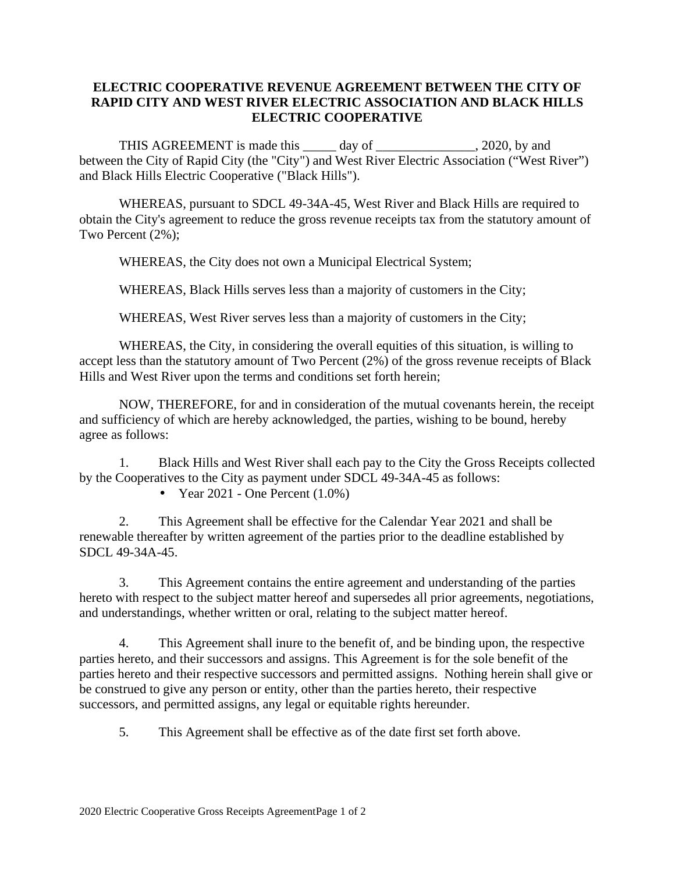## **ELECTRIC COOPERATIVE REVENUE AGREEMENT BETWEEN THE CITY OF RAPID CITY AND WEST RIVER ELECTRIC ASSOCIATION AND BLACK HILLS ELECTRIC COOPERATIVE**

THIS AGREEMENT is made this day of 3020, by and between the City of Rapid City (the "City") and West River Electric Association ("West River") and Black Hills Electric Cooperative ("Black Hills").

WHEREAS, pursuant to SDCL 49-34A-45, West River and Black Hills are required to obtain the City's agreement to reduce the gross revenue receipts tax from the statutory amount of Two Percent (2%);

WHEREAS, the City does not own a Municipal Electrical System;

WHEREAS, Black Hills serves less than a majority of customers in the City;

WHEREAS, West River serves less than a majority of customers in the City;

WHEREAS, the City, in considering the overall equities of this situation, is willing to accept less than the statutory amount of Two Percent (2%) of the gross revenue receipts of Black Hills and West River upon the terms and conditions set forth herein;

NOW, THEREFORE, for and in consideration of the mutual covenants herein, the receipt and sufficiency of which are hereby acknowledged, the parties, wishing to be bound, hereby agree as follows:

1. Black Hills and West River shall each pay to the City the Gross Receipts collected by the Cooperatives to the City as payment under SDCL 49-34A-45 as follows:

Year 2021 - One Percent  $(1.0\%)$ 

2. This Agreement shall be effective for the Calendar Year 2021 and shall be renewable thereafter by written agreement of the parties prior to the deadline established by SDCL 49-34A-45.

3. This Agreement contains the entire agreement and understanding of the parties hereto with respect to the subject matter hereof and supersedes all prior agreements, negotiations, and understandings, whether written or oral, relating to the subject matter hereof.

4. This Agreement shall inure to the benefit of, and be binding upon, the respective parties hereto, and their successors and assigns. This Agreement is for the sole benefit of the parties hereto and their respective successors and permitted assigns. Nothing herein shall give or be construed to give any person or entity, other than the parties hereto, their respective successors, and permitted assigns, any legal or equitable rights hereunder.

5. This Agreement shall be effective as of the date first set forth above.